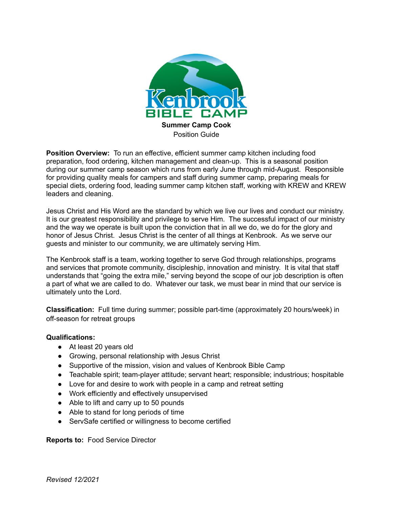

**Position Overview:** To run an effective, efficient summer camp kitchen including food preparation, food ordering, kitchen management and clean-up. This is a seasonal position during our summer camp season which runs from early June through mid-August. Responsible for providing quality meals for campers and staff during summer camp, preparing meals for special diets, ordering food, leading summer camp kitchen staff, working with KREW and KREW leaders and cleaning.

Jesus Christ and His Word are the standard by which we live our lives and conduct our ministry. It is our greatest responsibility and privilege to serve Him. The successful impact of our ministry and the way we operate is built upon the conviction that in all we do, we do for the glory and honor of Jesus Christ. Jesus Christ is the center of all things at Kenbrook. As we serve our guests and minister to our community, we are ultimately serving Him.

The Kenbrook staff is a team, working together to serve God through relationships, programs and services that promote community, discipleship, innovation and ministry. It is vital that staff understands that "going the extra mile," serving beyond the scope of our job description is often a part of what we are called to do. Whatever our task, we must bear in mind that our service is ultimately unto the Lord.

**Classification:** Full time during summer; possible part-time (approximately 20 hours/week) in off-season for retreat groups

## **Qualifications:**

- At least 20 years old
- Growing, personal relationship with Jesus Christ
- Supportive of the mission, vision and values of Kenbrook Bible Camp
- Teachable spirit; team-player attitude; servant heart; responsible; industrious; hospitable
- Love for and desire to work with people in a camp and retreat setting
- Work efficiently and effectively unsupervised
- Able to lift and carry up to 50 pounds
- Able to stand for long periods of time
- ServSafe certified or willingness to become certified

**Reports to:** Food Service Director